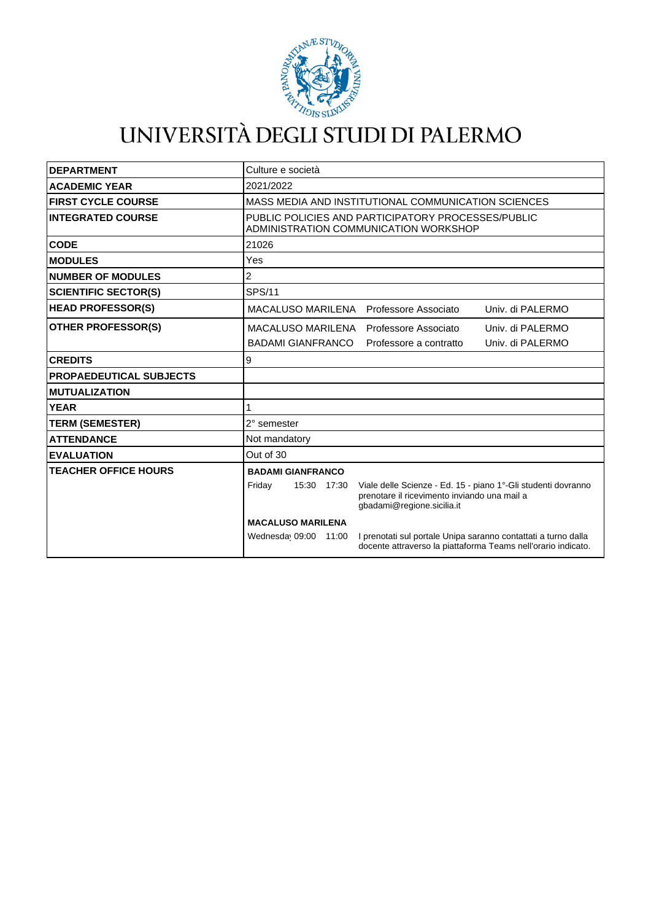

# UNIVERSITÀ DEGLI STUDI DI PALERMO

| <b>DEPARTMENT</b>              | Culture e società                                                                                                                                                    |
|--------------------------------|----------------------------------------------------------------------------------------------------------------------------------------------------------------------|
| <b>ACADEMIC YEAR</b>           | 2021/2022                                                                                                                                                            |
| <b>FIRST CYCLE COURSE</b>      | MASS MEDIA AND INSTITUTIONAL COMMUNICATION SCIENCES                                                                                                                  |
| <b>INTEGRATED COURSE</b>       | PUBLIC POLICIES AND PARTICIPATORY PROCESSES/PUBLIC<br>ADMINISTRATION COMMUNICATION WORKSHOP                                                                          |
| <b>CODE</b>                    | 21026                                                                                                                                                                |
| <b>MODULES</b>                 | Yes                                                                                                                                                                  |
| <b>NUMBER OF MODULES</b>       | 2                                                                                                                                                                    |
| <b>SCIENTIFIC SECTOR(S)</b>    | <b>SPS/11</b>                                                                                                                                                        |
| <b>HEAD PROFESSOR(S)</b>       | MACALUSO MARILENA Professore Associato<br>Univ. di PALERMO                                                                                                           |
| <b>OTHER PROFESSOR(S)</b>      | MACALUSO MARILENA<br>Univ. di PALERMO<br>Professore Associato                                                                                                        |
|                                | <b>BADAMI GIANFRANCO</b><br>Univ. di PALERMO<br>Professore a contratto                                                                                               |
| <b>CREDITS</b>                 | 9                                                                                                                                                                    |
| <b>PROPAEDEUTICAL SUBJECTS</b> |                                                                                                                                                                      |
| <b>MUTUALIZATION</b>           |                                                                                                                                                                      |
| <b>YEAR</b>                    |                                                                                                                                                                      |
| <b>TERM (SEMESTER)</b>         | 2° semester                                                                                                                                                          |
| <b>ATTENDANCE</b>              | Not mandatory                                                                                                                                                        |
| <b>EVALUATION</b>              | Out of 30                                                                                                                                                            |
| <b>TEACHER OFFICE HOURS</b>    | <b>BADAMI GIANFRANCO</b>                                                                                                                                             |
|                                | Viale delle Scienze - Ed. 15 - piano 1°-Gli studenti dovranno<br>Friday<br>15:30 17:30<br>prenotare il ricevimento inviando una mail a<br>gbadami@regione.sicilia.it |
|                                | <b>MACALUSO MARILENA</b>                                                                                                                                             |
|                                | I prenotati sul portale Unipa saranno contattati a turno dalla<br>Wednesday 09:00<br>11:00<br>docente attraverso la piattaforma Teams nell'orario indicato.          |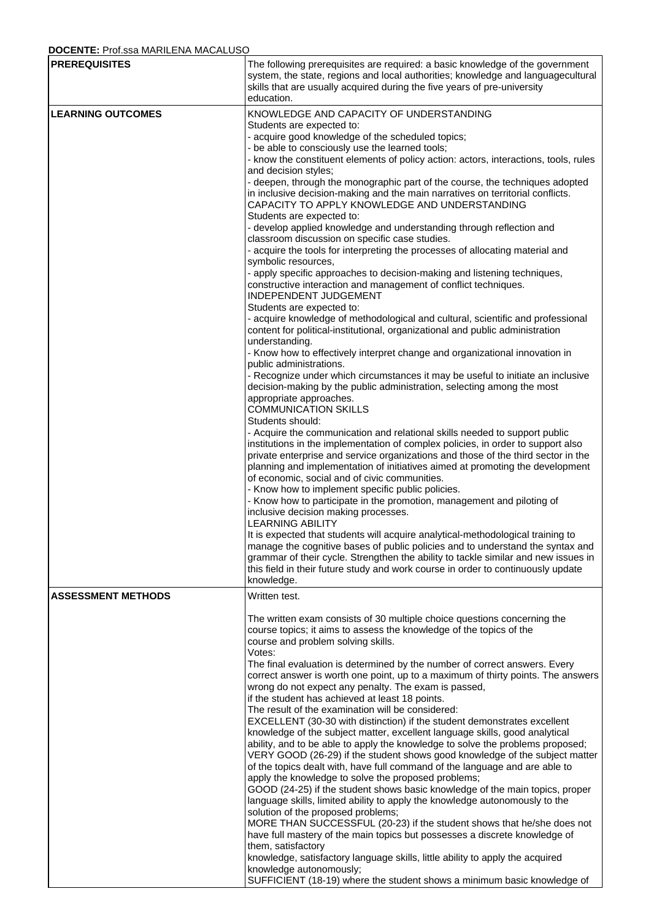## **DOCENTE:** Prof.ssa MARILENA MACALUSO

| $\blacksquare$<br><b>PREREQUISITES</b> | The following prerequisites are required: a basic knowledge of the government                                                                                                                                   |
|----------------------------------------|-----------------------------------------------------------------------------------------------------------------------------------------------------------------------------------------------------------------|
|                                        | system, the state, regions and local authorities; knowledge and languagecultural<br>skills that are usually acquired during the five years of pre-university<br>education.                                      |
| <b>LEARNING OUTCOMES</b>               | KNOWLEDGE AND CAPACITY OF UNDERSTANDING                                                                                                                                                                         |
|                                        | Students are expected to:                                                                                                                                                                                       |
|                                        | - acquire good knowledge of the scheduled topics;<br>- be able to consciously use the learned tools;                                                                                                            |
|                                        | - know the constituent elements of policy action: actors, interactions, tools, rules                                                                                                                            |
|                                        | and decision styles;                                                                                                                                                                                            |
|                                        | - deepen, through the monographic part of the course, the techniques adopted<br>in inclusive decision-making and the main narratives on territorial conflicts.<br>CAPACITY TO APPLY KNOWLEDGE AND UNDERSTANDING |
|                                        | Students are expected to:                                                                                                                                                                                       |
|                                        | - develop applied knowledge and understanding through reflection and<br>classroom discussion on specific case studies.                                                                                          |
|                                        | - acquire the tools for interpreting the processes of allocating material and                                                                                                                                   |
|                                        | symbolic resources,                                                                                                                                                                                             |
|                                        | - apply specific approaches to decision-making and listening techniques,<br>constructive interaction and management of conflict techniques.<br>INDEPENDENT JUDGEMENT                                            |
|                                        | Students are expected to:                                                                                                                                                                                       |
|                                        | - acquire knowledge of methodological and cultural, scientific and professional<br>content for political-institutional, organizational and public administration<br>understanding.                              |
|                                        | - Know how to effectively interpret change and organizational innovation in                                                                                                                                     |
|                                        | public administrations.<br>- Recognize under which circumstances it may be useful to initiate an inclusive                                                                                                      |
|                                        | decision-making by the public administration, selecting among the most                                                                                                                                          |
|                                        | appropriate approaches.                                                                                                                                                                                         |
|                                        | <b>COMMUNICATION SKILLS</b><br>Students should:                                                                                                                                                                 |
|                                        | - Acquire the communication and relational skills needed to support public                                                                                                                                      |
|                                        | institutions in the implementation of complex policies, in order to support also                                                                                                                                |
|                                        | private enterprise and service organizations and those of the third sector in the<br>planning and implementation of initiatives aimed at promoting the development                                              |
|                                        | of economic, social and of civic communities.                                                                                                                                                                   |
|                                        | - Know how to implement specific public policies.<br>- Know how to participate in the promotion, management and piloting of                                                                                     |
|                                        | inclusive decision making processes.<br><b>LEARNING ABILITY</b>                                                                                                                                                 |
|                                        | It is expected that students will acquire analytical-methodological training to                                                                                                                                 |
|                                        | manage the cognitive bases of public policies and to understand the syntax and<br>grammar of their cycle. Strengthen the ability to tackle similar and new issues in                                            |
|                                        | this field in their future study and work course in order to continuously update<br>knowledge.                                                                                                                  |
| <b>ASSESSMENT METHODS</b>              | Written test.                                                                                                                                                                                                   |
|                                        |                                                                                                                                                                                                                 |
|                                        | The written exam consists of 30 multiple choice questions concerning the<br>course topics; it aims to assess the knowledge of the topics of the                                                                 |
|                                        | course and problem solving skills.                                                                                                                                                                              |
|                                        | Votes:                                                                                                                                                                                                          |
|                                        | The final evaluation is determined by the number of correct answers. Every<br>correct answer is worth one point, up to a maximum of thirty points. The answers                                                  |
|                                        | wrong do not expect any penalty. The exam is passed,                                                                                                                                                            |
|                                        | if the student has achieved at least 18 points.<br>The result of the examination will be considered:                                                                                                            |
|                                        | EXCELLENT (30-30 with distinction) if the student demonstrates excellent                                                                                                                                        |
|                                        | knowledge of the subject matter, excellent language skills, good analytical                                                                                                                                     |
|                                        | ability, and to be able to apply the knowledge to solve the problems proposed;<br>VERY GOOD (26-29) if the student shows good knowledge of the subject matter                                                   |
|                                        | of the topics dealt with, have full command of the language and are able to                                                                                                                                     |
|                                        | apply the knowledge to solve the proposed problems;                                                                                                                                                             |
|                                        | GOOD (24-25) if the student shows basic knowledge of the main topics, proper<br>language skills, limited ability to apply the knowledge autonomously to the                                                     |
|                                        | solution of the proposed problems;                                                                                                                                                                              |
|                                        | MORE THAN SUCCESSFUL (20-23) if the student shows that he/she does not                                                                                                                                          |
|                                        | have full mastery of the main topics but possesses a discrete knowledge of<br>them, satisfactory                                                                                                                |
|                                        | knowledge, satisfactory language skills, little ability to apply the acquired                                                                                                                                   |
|                                        | knowledge autonomously;<br>SUFFICIENT (18-19) where the student shows a minimum basic knowledge of                                                                                                              |
|                                        |                                                                                                                                                                                                                 |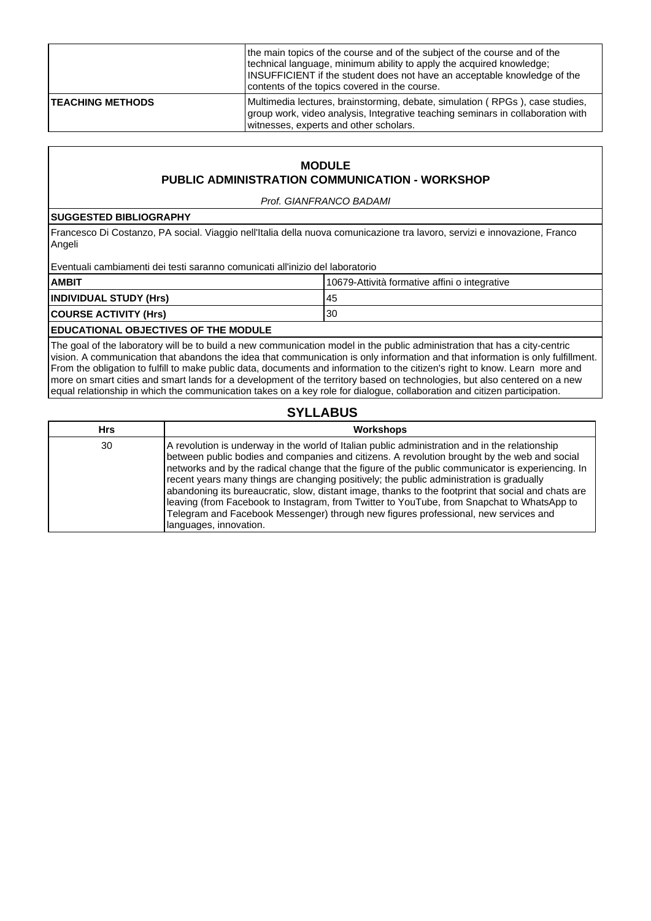|                         | the main topics of the course and of the subject of the course and of the<br>technical language, minimum ability to apply the acquired knowledge;<br>INSUFFICIENT if the student does not have an acceptable knowledge of the<br>contents of the topics covered in the course. |
|-------------------------|--------------------------------------------------------------------------------------------------------------------------------------------------------------------------------------------------------------------------------------------------------------------------------|
| <b>TEACHING METHODS</b> | Multimedia lectures, brainstorming, debate, simulation (RPGs), case studies,<br>group work, video analysis, Integrative teaching seminars in collaboration with<br>witnesses, experts and other scholars.                                                                      |

## **MODULE PUBLIC ADMINISTRATION COMMUNICATION - WORKSHOP**

Prof. GIANFRANCO BADAMI

#### **SUGGESTED BIBLIOGRAPHY**

Francesco Di Costanzo, PA social. Viaggio nell'Italia della nuova comunicazione tra lavoro, servizi e innovazione, Franco Angeli

Eventuali cambiamenti dei testi saranno comunicati all'inizio del laboratorio

| <b>AMBIT</b>           | 10679-Attività formative affini o integrative |
|------------------------|-----------------------------------------------|
| INDIVIDUAL STUDY (Hrs) | 45                                            |
| COURSE ACTIVITY (Hrs)  | 30                                            |
|                        |                                               |

## **EDUCATIONAL OBJECTIVES OF THE MODULE**

The goal of the laboratory will be to build a new communication model in the public administration that has a city-centric vision. A communication that abandons the idea that communication is only information and that information is only fulfillment. From the obligation to fulfill to make public data, documents and information to the citizen's right to know. Learn more and more on smart cities and smart lands for a development of the territory based on technologies, but also centered on a new equal relationship in which the communication takes on a key role for dialogue, collaboration and citizen participation.

## **SYLLABUS**

| <b>Hrs</b> | <b>Workshops</b>                                                                                                                                                                                                                                                                                                                                                                                                                                                                                                                                                                                                                                                                                                      |
|------------|-----------------------------------------------------------------------------------------------------------------------------------------------------------------------------------------------------------------------------------------------------------------------------------------------------------------------------------------------------------------------------------------------------------------------------------------------------------------------------------------------------------------------------------------------------------------------------------------------------------------------------------------------------------------------------------------------------------------------|
| 30         | A revolution is underway in the world of Italian public administration and in the relationship<br>between public bodies and companies and citizens. A revolution brought by the web and social<br>networks and by the radical change that the figure of the public communicator is experiencing. In<br>recent years many things are changing positively; the public administration is gradually<br>abandoning its bureaucratic, slow, distant image, thanks to the footprint that social and chats are<br>leaving (from Facebook to Instagram, from Twitter to YouTube, from Snapchat to WhatsApp to<br>Telegram and Facebook Messenger) through new figures professional, new services and<br>languages, innovation. |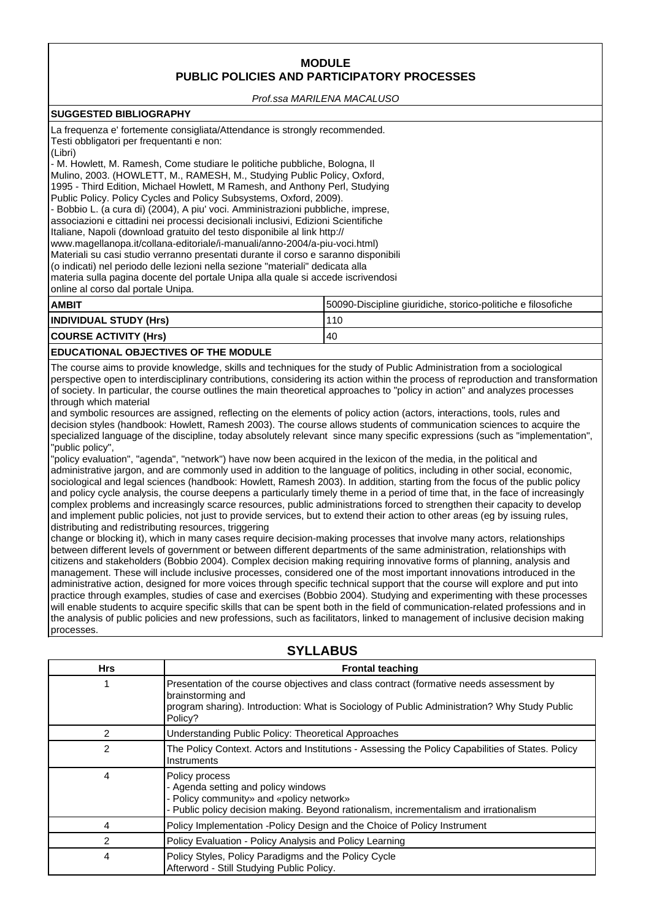## **MODULE PUBLIC POLICIES AND PARTICIPATORY PROCESSES**

Prof.ssa MARILENA MACALUSO

## **SUGGESTED BIBLIOGRAPHY**

| Testi obbligatori per frequentanti e non:<br>(Libri)<br>online al corso dal portale Unipa. | La frequenza e' fortemente consigliata/Attendance is strongly recommended.<br>- M. Howlett, M. Ramesh, Come studiare le politiche pubbliche, Bologna, II<br>Mulino, 2003. (HOWLETT, M., RAMESH, M., Studying Public Policy, Oxford,<br>1995 - Third Edition, Michael Howlett, M Ramesh, and Anthony Perl, Studying<br>Public Policy. Policy Cycles and Policy Subsystems, Oxford, 2009).<br>- Bobbio L. (a cura di) (2004), A piu' voci. Amministrazioni pubbliche, imprese,<br>associazioni e cittadini nei processi decisionali inclusivi, Edizioni Scientifiche<br>Italiane, Napoli (download gratuito del testo disponibile al link http://<br>www.magellanopa.it/collana-editoriale/i-manuali/anno-2004/a-piu-voci.html)<br>Materiali su casi studio verranno presentati durante il corso e saranno disponibili<br>(o indicati) nel periodo delle lezioni nella sezione "materiali" dedicata alla<br>materia sulla pagina docente del portale Unipa alla quale si accede iscrivendosi |  |
|--------------------------------------------------------------------------------------------|--------------------------------------------------------------------------------------------------------------------------------------------------------------------------------------------------------------------------------------------------------------------------------------------------------------------------------------------------------------------------------------------------------------------------------------------------------------------------------------------------------------------------------------------------------------------------------------------------------------------------------------------------------------------------------------------------------------------------------------------------------------------------------------------------------------------------------------------------------------------------------------------------------------------------------------------------------------------------------------------|--|
| <b>AMBIT</b>                                                                               | 50090-Discipline giuridiche, storico-politiche e filosofiche                                                                                                                                                                                                                                                                                                                                                                                                                                                                                                                                                                                                                                                                                                                                                                                                                                                                                                                               |  |
| <b>INDIVIDUAL STUDY (Hrs)</b>                                                              | 110                                                                                                                                                                                                                                                                                                                                                                                                                                                                                                                                                                                                                                                                                                                                                                                                                                                                                                                                                                                        |  |
| <b>COURSE ACTIVITY (Hrs)</b>                                                               | 40                                                                                                                                                                                                                                                                                                                                                                                                                                                                                                                                                                                                                                                                                                                                                                                                                                                                                                                                                                                         |  |
|                                                                                            |                                                                                                                                                                                                                                                                                                                                                                                                                                                                                                                                                                                                                                                                                                                                                                                                                                                                                                                                                                                            |  |

#### **EDUCATIONAL OBJECTIVES OF THE MODULE**

The course aims to provide knowledge, skills and techniques for the study of Public Administration from a sociological perspective open to interdisciplinary contributions, considering its action within the process of reproduction and transformation of society. In particular, the course outlines the main theoretical approaches to "policy in action" and analyzes processes through which material

and symbolic resources are assigned, reflecting on the elements of policy action (actors, interactions, tools, rules and decision styles (handbook: Howlett, Ramesh 2003). The course allows students of communication sciences to acquire the specialized language of the discipline, today absolutely relevant since many specific expressions (such as "implementation", "public policy",

"policy evaluation", "agenda", "network") have now been acquired in the lexicon of the media, in the political and administrative jargon, and are commonly used in addition to the language of politics, including in other social, economic, sociological and legal sciences (handbook: Howlett, Ramesh 2003). In addition, starting from the focus of the public policy and policy cycle analysis, the course deepens a particularly timely theme in a period of time that, in the face of increasingly complex problems and increasingly scarce resources, public administrations forced to strengthen their capacity to develop and implement public policies, not just to provide services, but to extend their action to other areas (eg by issuing rules, distributing and redistributing resources, triggering

change or blocking it), which in many cases require decision-making processes that involve many actors, relationships between different levels of government or between different departments of the same administration, relationships with citizens and stakeholders (Bobbio 2004). Complex decision making requiring innovative forms of planning, analysis and management. These will include inclusive processes, considered one of the most important innovations introduced in the administrative action, designed for more voices through specific technical support that the course will explore and put into practice through examples, studies of case and exercises (Bobbio 2004). Studying and experimenting with these processes will enable students to acquire specific skills that can be spent both in the field of communication-related professions and in the analysis of public policies and new professions, such as facilitators, linked to management of inclusive decision making processes.

| <b>Hrs</b> | <b>Frontal teaching</b>                                                                                                                                                                                                 |
|------------|-------------------------------------------------------------------------------------------------------------------------------------------------------------------------------------------------------------------------|
|            | Presentation of the course objectives and class contract (formative needs assessment by<br>brainstorming and<br>program sharing). Introduction: What is Sociology of Public Administration? Why Study Public<br>Policy? |
| 2          | Understanding Public Policy: Theoretical Approaches                                                                                                                                                                     |
| 2          | The Policy Context. Actors and Institutions - Assessing the Policy Capabilities of States. Policy<br>Instruments                                                                                                        |
| 4          | Policy process<br>- Agenda setting and policy windows<br>- Policy community» and «policy network»<br>- Public policy decision making. Beyond rationalism, incrementalism and irrationalism                              |
| 4          | Policy Implementation -Policy Design and the Choice of Policy Instrument                                                                                                                                                |
| 2          | Policy Evaluation - Policy Analysis and Policy Learning                                                                                                                                                                 |
| 4          | Policy Styles, Policy Paradigms and the Policy Cycle<br>Afterword - Still Studying Public Policy.                                                                                                                       |

## **SYLLABUS**